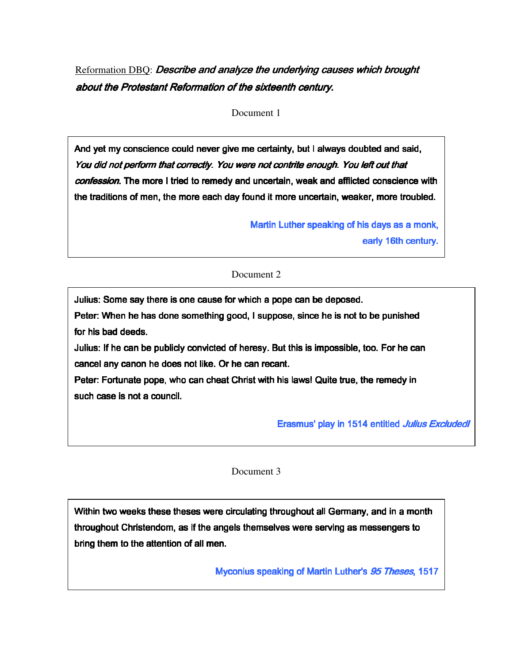Reformation DBQ: *Describe and analyze the underlying causes which brought* about the Protestant Reformation of the sixteenth century.

Document 1

And yet my conscience could never give me certainty, but I always doubted and said, You did not perform that correctly. You were not contrite enough. You left out that confession. The more I tried to remedy and uncertain, weak and afflicted conscience with the traditions of men, the more each day found it more uncertain, weaker, more troubled.

> Martin Luther speaking of his days as a monk, early 16th century.

Document 2

Julius: Some say there is one cause for which a pope can be deposed. Peter: When he has done something good, I suppose, since he is not to be punished for his bad deeds.

Julius: If he can be publicly convicted of heresy. But this is impossible, too. For he can cancel any canon he does not like. Or he can recant.

Peter: Fortunate pope, who can cheat Christ with his laws! Quite true, the remedy in such case is not a council.

Erasmus' play in 1514 entitled Julius Excludedl

Document 3

Within two weeks these theses were circulating throughout all Germany, and in a month throughout Christendom, as if the angels themselves were serving as messengers to bring them to the attention of all men.

Myconius speaking of Martin Luther's 95 Theses, 1517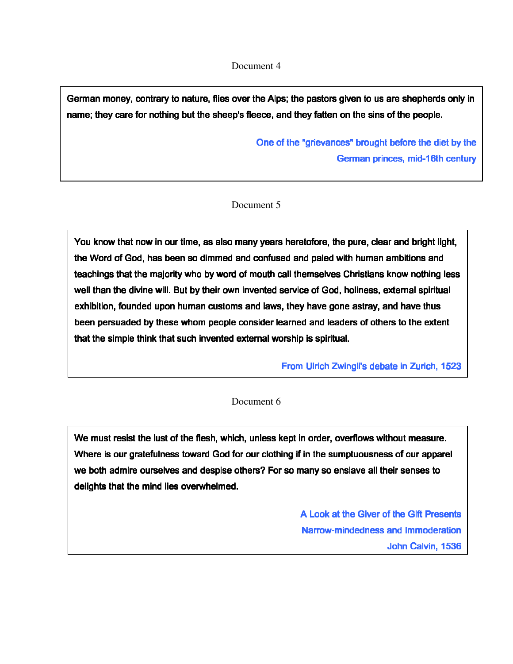## Document 4

German money, contrary to nature, flies over the Alps; the pastors given to us are shepherds only in name; they care for nothing but the sheep's fleece, and they fatten on the sins of the people.

> One of the "grievances" brought before the diet by the German princes, mid-16th century

## Document 5

You know that now in our time, as also many years heretofore, the pure, clear and bright light, the Word of God, has been so dimmed and confused and paled with human ambitions and teachings that the majority who by word of mouth call themselves Christians know nothing less well than the divine will. But by their own invented service of God, holiness, external spiritual exhibition, founded upon human customs and laws, they have gone astray, and have thus been persuaded by these whom people consider learned and leaders of others to the extent that the simple think that such invented external worship is spiritual.

From Ulrich Zwingli's debate in Zurich, 1523

## Document 6

We must resist the lust of the flesh, which, unless kept in order, overflows without measure. Where is our gratefulness toward God for our clothing if in the sumptuousness of our apparel we both admire ourselves and despise others? For so many so enslave all their senses to delights that the mind lies overwhelmed.

> A Look at the Giver of the Gift Presents Narrow-mindedness and Immoderation John Calvin, 1536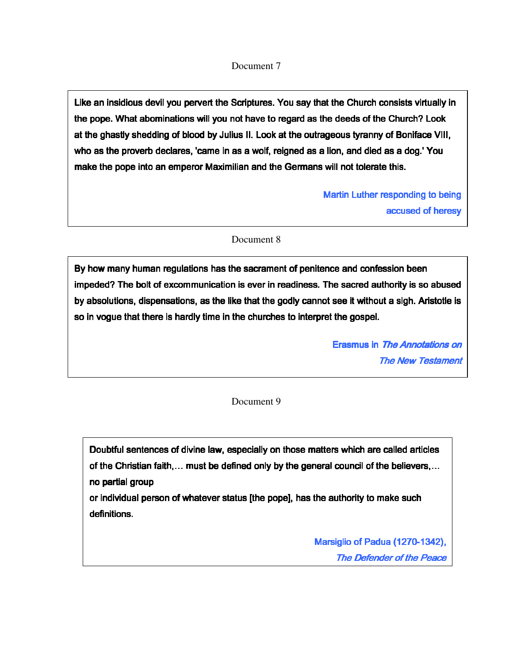## Document 7

Like an insidious devil you pervert the Scriptures. You say that the Church consists virtually in the pope. What abominations will you not have to regard as the deeds of the Church? Look at the ghastly shedding of blood by Julius II. Look at the outrageous tyranny of Boniface VIII, who as the proverb declares, 'came in as a wolf, reigned as a lion, and died as a dog.' You make the pope into an emperor Maximilian and the Germans will not tolerate this.

> Martin Luther responding to being accused of heresy

Document 8

By how many human regulations has the sacrament of penitence and confession been impeded? The bolt of excommunication is ever in readiness. The sacred authority is so abused by absolutions, dispensations, as the like that the godly cannot see it without a sigh. Aristotle is so in vogue that there is hardly time in the churches to interpret the gospel.

> Erasmus in The Annotations on The New Testament

Document 9

Doubtful sentences of divine law, especially on those matters which are called articles of the Christian faith,… must be defined only by the general council of the believers,… no partial group

or individual person of whatever status [the pope], has the authority to make such definitions.

> Marsiglio of Padua (1270-1342), The Defender of the Peace